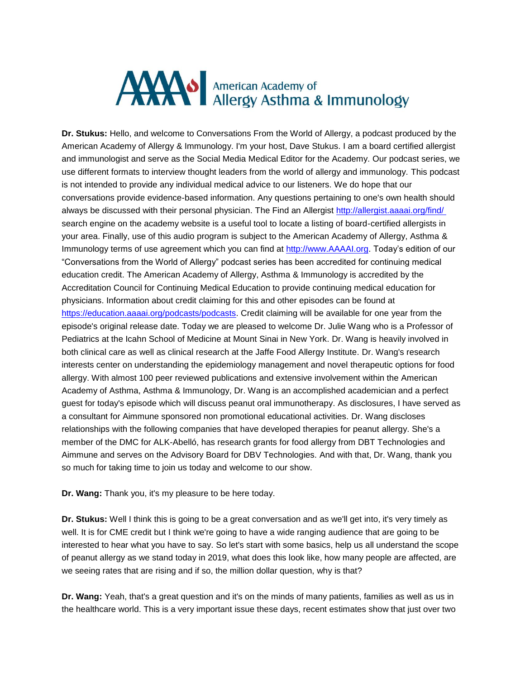## AMAN American Academy of Allergy Asthma & Immunology

**Dr. Stukus:** Hello, and welcome to Conversations From the World of Allergy, a podcast produced by the American Academy of Allergy & Immunology. I'm your host, Dave Stukus. I am a board certified allergist and immunologist and serve as the Social Media Medical Editor for the Academy. Our podcast series, we use different formats to interview thought leaders from the world of allergy and immunology. This podcast is not intended to provide any individual medical advice to our listeners. We do hope that our conversations provide evidence-based information. Any questions pertaining to one's own health should always be discussed with their personal physician. The Find an Allergist<http://allergist.aaaai.org/find/> search engine on the academy website is a useful tool to locate a listing of board-certified allergists in your area. Finally, use of this audio program is subject to the American Academy of Allergy, Asthma & Immunology terms of use agreement which you can find at [http://www.AAAAI.org.](http://www.aaaai.org/) Today's edition of our "Conversations from the World of Allergy" podcast series has been accredited for continuing medical education credit. The American Academy of Allergy, Asthma & Immunology is accredited by the Accreditation Council for Continuing Medical Education to provide continuing medical education for physicians. Information about credit claiming for this and other episodes can be found at [https://education.aaaai.org/podcasts/podcasts.](https://education.aaaai.org/podcasts/podcasts) Credit claiming will be available for one year from the episode's original release date. Today we are pleased to welcome Dr. Julie Wang who is a Professor of Pediatrics at the Icahn School of Medicine at Mount Sinai in New York. Dr. Wang is heavily involved in both clinical care as well as clinical research at the Jaffe Food Allergy Institute. Dr. Wang's research interests center on understanding the epidemiology management and novel therapeutic options for food allergy. With almost 100 peer reviewed publications and extensive involvement within the American Academy of Asthma, Asthma & Immunology, Dr. Wang is an accomplished academician and a perfect guest for today's episode which will discuss peanut oral immunotherapy. As disclosures, I have served as a consultant for Aimmune sponsored non promotional educational activities. Dr. Wang discloses relationships with the following companies that have developed therapies for peanut allergy. She's a member of the DMC for ALK-Abelló, has research grants for food allergy from DBT Technologies and Aimmune and serves on the Advisory Board for DBV Technologies. And with that, Dr. Wang, thank you so much for taking time to join us today and welcome to our show.

**Dr. Wang:** Thank you, it's my pleasure to be here today.

**Dr. Stukus:** Well I think this is going to be a great conversation and as we'll get into, it's very timely as well. It is for CME credit but I think we're going to have a wide ranging audience that are going to be interested to hear what you have to say. So let's start with some basics, help us all understand the scope of peanut allergy as we stand today in 2019, what does this look like, how many people are affected, are we seeing rates that are rising and if so, the million dollar question, why is that?

**Dr. Wang:** Yeah, that's a great question and it's on the minds of many patients, families as well as us in the healthcare world. This is a very important issue these days, recent estimates show that just over two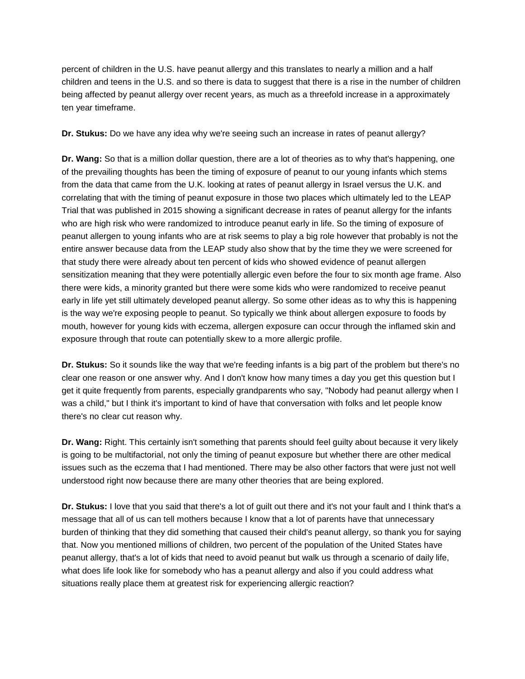percent of children in the U.S. have peanut allergy and this translates to nearly a million and a half children and teens in the U.S. and so there is data to suggest that there is a rise in the number of children being affected by peanut allergy over recent years, as much as a threefold increase in a approximately ten year timeframe.

**Dr. Stukus:** Do we have any idea why we're seeing such an increase in rates of peanut allergy?

**Dr. Wang:** So that is a million dollar question, there are a lot of theories as to why that's happening, one of the prevailing thoughts has been the timing of exposure of peanut to our young infants which stems from the data that came from the U.K. looking at rates of peanut allergy in Israel versus the U.K. and correlating that with the timing of peanut exposure in those two places which ultimately led to the LEAP Trial that was published in 2015 showing a significant decrease in rates of peanut allergy for the infants who are high risk who were randomized to introduce peanut early in life. So the timing of exposure of peanut allergen to young infants who are at risk seems to play a big role however that probably is not the entire answer because data from the LEAP study also show that by the time they we were screened for that study there were already about ten percent of kids who showed evidence of peanut allergen sensitization meaning that they were potentially allergic even before the four to six month age frame. Also there were kids, a minority granted but there were some kids who were randomized to receive peanut early in life yet still ultimately developed peanut allergy. So some other ideas as to why this is happening is the way we're exposing people to peanut. So typically we think about allergen exposure to foods by mouth, however for young kids with eczema, allergen exposure can occur through the inflamed skin and exposure through that route can potentially skew to a more allergic profile.

**Dr. Stukus:** So it sounds like the way that we're feeding infants is a big part of the problem but there's no clear one reason or one answer why. And I don't know how many times a day you get this question but I get it quite frequently from parents, especially grandparents who say, "Nobody had peanut allergy when I was a child," but I think it's important to kind of have that conversation with folks and let people know there's no clear cut reason why.

**Dr. Wang:** Right. This certainly isn't something that parents should feel guilty about because it very likely is going to be multifactorial, not only the timing of peanut exposure but whether there are other medical issues such as the eczema that I had mentioned. There may be also other factors that were just not well understood right now because there are many other theories that are being explored.

**Dr. Stukus:** I love that you said that there's a lot of guilt out there and it's not your fault and I think that's a message that all of us can tell mothers because I know that a lot of parents have that unnecessary burden of thinking that they did something that caused their child's peanut allergy, so thank you for saying that. Now you mentioned millions of children, two percent of the population of the United States have peanut allergy, that's a lot of kids that need to avoid peanut but walk us through a scenario of daily life, what does life look like for somebody who has a peanut allergy and also if you could address what situations really place them at greatest risk for experiencing allergic reaction?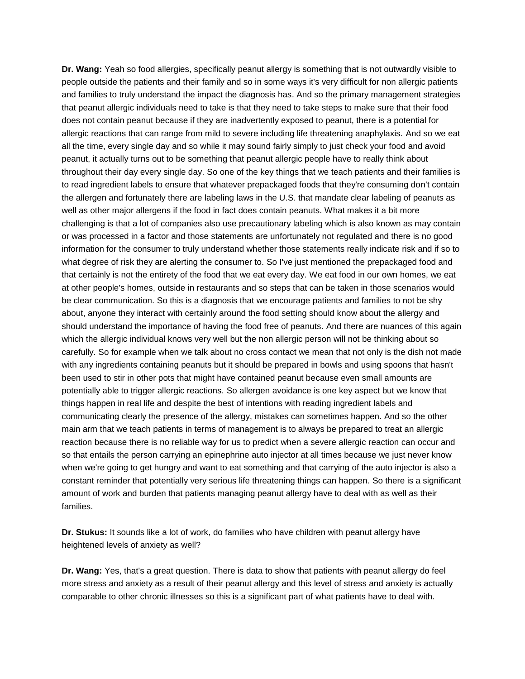**Dr. Wang:** Yeah so food allergies, specifically peanut allergy is something that is not outwardly visible to people outside the patients and their family and so in some ways it's very difficult for non allergic patients and families to truly understand the impact the diagnosis has. And so the primary management strategies that peanut allergic individuals need to take is that they need to take steps to make sure that their food does not contain peanut because if they are inadvertently exposed to peanut, there is a potential for allergic reactions that can range from mild to severe including life threatening anaphylaxis. And so we eat all the time, every single day and so while it may sound fairly simply to just check your food and avoid peanut, it actually turns out to be something that peanut allergic people have to really think about throughout their day every single day. So one of the key things that we teach patients and their families is to read ingredient labels to ensure that whatever prepackaged foods that they're consuming don't contain the allergen and fortunately there are labeling laws in the U.S. that mandate clear labeling of peanuts as well as other major allergens if the food in fact does contain peanuts. What makes it a bit more challenging is that a lot of companies also use precautionary labeling which is also known as may contain or was processed in a factor and those statements are unfortunately not regulated and there is no good information for the consumer to truly understand whether those statements really indicate risk and if so to what degree of risk they are alerting the consumer to. So I've just mentioned the prepackaged food and that certainly is not the entirety of the food that we eat every day. We eat food in our own homes, we eat at other people's homes, outside in restaurants and so steps that can be taken in those scenarios would be clear communication. So this is a diagnosis that we encourage patients and families to not be shy about, anyone they interact with certainly around the food setting should know about the allergy and should understand the importance of having the food free of peanuts. And there are nuances of this again which the allergic individual knows very well but the non allergic person will not be thinking about so carefully. So for example when we talk about no cross contact we mean that not only is the dish not made with any ingredients containing peanuts but it should be prepared in bowls and using spoons that hasn't been used to stir in other pots that might have contained peanut because even small amounts are potentially able to trigger allergic reactions. So allergen avoidance is one key aspect but we know that things happen in real life and despite the best of intentions with reading ingredient labels and communicating clearly the presence of the allergy, mistakes can sometimes happen. And so the other main arm that we teach patients in terms of management is to always be prepared to treat an allergic reaction because there is no reliable way for us to predict when a severe allergic reaction can occur and so that entails the person carrying an epinephrine auto injector at all times because we just never know when we're going to get hungry and want to eat something and that carrying of the auto injector is also a constant reminder that potentially very serious life threatening things can happen. So there is a significant amount of work and burden that patients managing peanut allergy have to deal with as well as their families.

**Dr. Stukus:** It sounds like a lot of work, do families who have children with peanut allergy have heightened levels of anxiety as well?

**Dr. Wang:** Yes, that's a great question. There is data to show that patients with peanut allergy do feel more stress and anxiety as a result of their peanut allergy and this level of stress and anxiety is actually comparable to other chronic illnesses so this is a significant part of what patients have to deal with.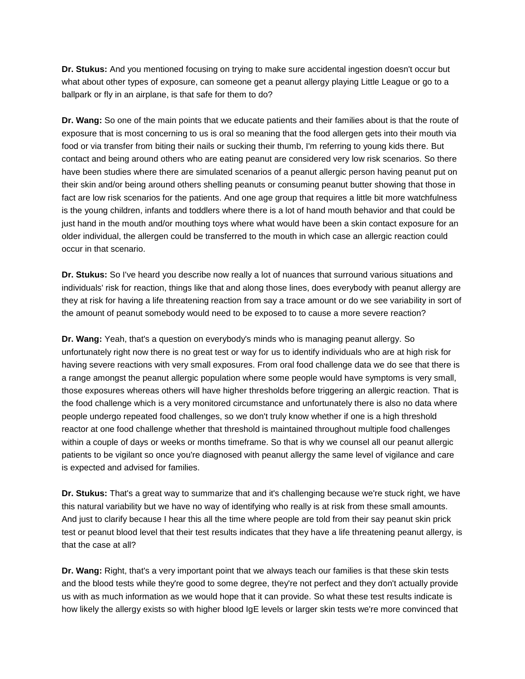**Dr. Stukus:** And you mentioned focusing on trying to make sure accidental ingestion doesn't occur but what about other types of exposure, can someone get a peanut allergy playing Little League or go to a ballpark or fly in an airplane, is that safe for them to do?

**Dr. Wang:** So one of the main points that we educate patients and their families about is that the route of exposure that is most concerning to us is oral so meaning that the food allergen gets into their mouth via food or via transfer from biting their nails or sucking their thumb, I'm referring to young kids there. But contact and being around others who are eating peanut are considered very low risk scenarios. So there have been studies where there are simulated scenarios of a peanut allergic person having peanut put on their skin and/or being around others shelling peanuts or consuming peanut butter showing that those in fact are low risk scenarios for the patients. And one age group that requires a little bit more watchfulness is the young children, infants and toddlers where there is a lot of hand mouth behavior and that could be just hand in the mouth and/or mouthing toys where what would have been a skin contact exposure for an older individual, the allergen could be transferred to the mouth in which case an allergic reaction could occur in that scenario.

**Dr. Stukus:** So I've heard you describe now really a lot of nuances that surround various situations and individuals' risk for reaction, things like that and along those lines, does everybody with peanut allergy are they at risk for having a life threatening reaction from say a trace amount or do we see variability in sort of the amount of peanut somebody would need to be exposed to to cause a more severe reaction?

**Dr. Wang:** Yeah, that's a question on everybody's minds who is managing peanut allergy. So unfortunately right now there is no great test or way for us to identify individuals who are at high risk for having severe reactions with very small exposures. From oral food challenge data we do see that there is a range amongst the peanut allergic population where some people would have symptoms is very small, those exposures whereas others will have higher thresholds before triggering an allergic reaction. That is the food challenge which is a very monitored circumstance and unfortunately there is also no data where people undergo repeated food challenges, so we don't truly know whether if one is a high threshold reactor at one food challenge whether that threshold is maintained throughout multiple food challenges within a couple of days or weeks or months timeframe. So that is why we counsel all our peanut allergic patients to be vigilant so once you're diagnosed with peanut allergy the same level of vigilance and care is expected and advised for families.

**Dr. Stukus:** That's a great way to summarize that and it's challenging because we're stuck right, we have this natural variability but we have no way of identifying who really is at risk from these small amounts. And just to clarify because I hear this all the time where people are told from their say peanut skin prick test or peanut blood level that their test results indicates that they have a life threatening peanut allergy, is that the case at all?

**Dr. Wang:** Right, that's a very important point that we always teach our families is that these skin tests and the blood tests while they're good to some degree, they're not perfect and they don't actually provide us with as much information as we would hope that it can provide. So what these test results indicate is how likely the allergy exists so with higher blood IgE levels or larger skin tests we're more convinced that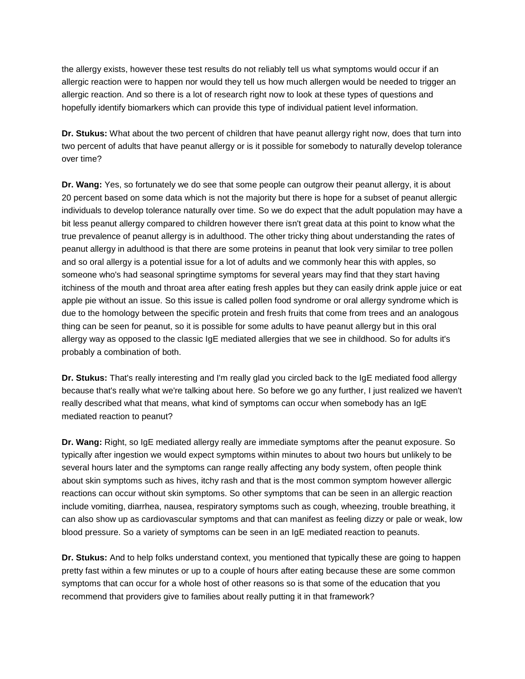the allergy exists, however these test results do not reliably tell us what symptoms would occur if an allergic reaction were to happen nor would they tell us how much allergen would be needed to trigger an allergic reaction. And so there is a lot of research right now to look at these types of questions and hopefully identify biomarkers which can provide this type of individual patient level information.

**Dr. Stukus:** What about the two percent of children that have peanut allergy right now, does that turn into two percent of adults that have peanut allergy or is it possible for somebody to naturally develop tolerance over time?

**Dr. Wang:** Yes, so fortunately we do see that some people can outgrow their peanut allergy, it is about 20 percent based on some data which is not the majority but there is hope for a subset of peanut allergic individuals to develop tolerance naturally over time. So we do expect that the adult population may have a bit less peanut allergy compared to children however there isn't great data at this point to know what the true prevalence of peanut allergy is in adulthood. The other tricky thing about understanding the rates of peanut allergy in adulthood is that there are some proteins in peanut that look very similar to tree pollen and so oral allergy is a potential issue for a lot of adults and we commonly hear this with apples, so someone who's had seasonal springtime symptoms for several years may find that they start having itchiness of the mouth and throat area after eating fresh apples but they can easily drink apple juice or eat apple pie without an issue. So this issue is called pollen food syndrome or oral allergy syndrome which is due to the homology between the specific protein and fresh fruits that come from trees and an analogous thing can be seen for peanut, so it is possible for some adults to have peanut allergy but in this oral allergy way as opposed to the classic IgE mediated allergies that we see in childhood. So for adults it's probably a combination of both.

**Dr. Stukus:** That's really interesting and I'm really glad you circled back to the IgE mediated food allergy because that's really what we're talking about here. So before we go any further, I just realized we haven't really described what that means, what kind of symptoms can occur when somebody has an IgE mediated reaction to peanut?

**Dr. Wang:** Right, so IgE mediated allergy really are immediate symptoms after the peanut exposure. So typically after ingestion we would expect symptoms within minutes to about two hours but unlikely to be several hours later and the symptoms can range really affecting any body system, often people think about skin symptoms such as hives, itchy rash and that is the most common symptom however allergic reactions can occur without skin symptoms. So other symptoms that can be seen in an allergic reaction include vomiting, diarrhea, nausea, respiratory symptoms such as cough, wheezing, trouble breathing, it can also show up as cardiovascular symptoms and that can manifest as feeling dizzy or pale or weak, low blood pressure. So a variety of symptoms can be seen in an IgE mediated reaction to peanuts.

**Dr. Stukus:** And to help folks understand context, you mentioned that typically these are going to happen pretty fast within a few minutes or up to a couple of hours after eating because these are some common symptoms that can occur for a whole host of other reasons so is that some of the education that you recommend that providers give to families about really putting it in that framework?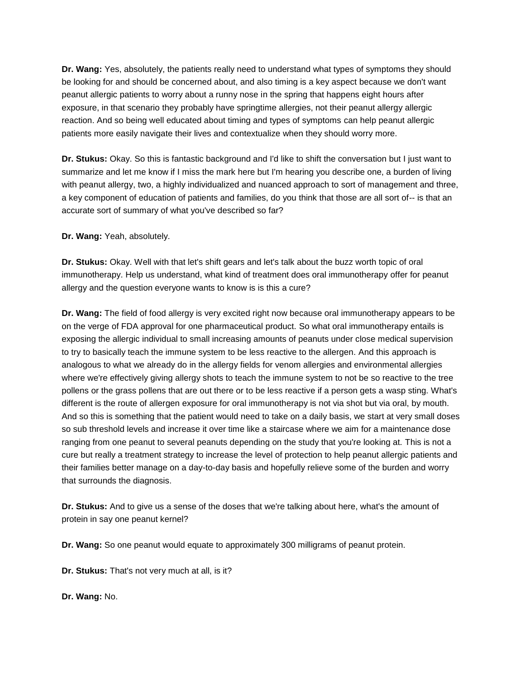**Dr. Wang:** Yes, absolutely, the patients really need to understand what types of symptoms they should be looking for and should be concerned about, and also timing is a key aspect because we don't want peanut allergic patients to worry about a runny nose in the spring that happens eight hours after exposure, in that scenario they probably have springtime allergies, not their peanut allergy allergic reaction. And so being well educated about timing and types of symptoms can help peanut allergic patients more easily navigate their lives and contextualize when they should worry more.

**Dr. Stukus:** Okay. So this is fantastic background and I'd like to shift the conversation but I just want to summarize and let me know if I miss the mark here but I'm hearing you describe one, a burden of living with peanut allergy, two, a highly individualized and nuanced approach to sort of management and three, a key component of education of patients and families, do you think that those are all sort of-- is that an accurate sort of summary of what you've described so far?

**Dr. Wang:** Yeah, absolutely.

**Dr. Stukus:** Okay. Well with that let's shift gears and let's talk about the buzz worth topic of oral immunotherapy. Help us understand, what kind of treatment does oral immunotherapy offer for peanut allergy and the question everyone wants to know is is this a cure?

**Dr. Wang:** The field of food allergy is very excited right now because oral immunotherapy appears to be on the verge of FDA approval for one pharmaceutical product. So what oral immunotherapy entails is exposing the allergic individual to small increasing amounts of peanuts under close medical supervision to try to basically teach the immune system to be less reactive to the allergen. And this approach is analogous to what we already do in the allergy fields for venom allergies and environmental allergies where we're effectively giving allergy shots to teach the immune system to not be so reactive to the tree pollens or the grass pollens that are out there or to be less reactive if a person gets a wasp sting. What's different is the route of allergen exposure for oral immunotherapy is not via shot but via oral, by mouth. And so this is something that the patient would need to take on a daily basis, we start at very small doses so sub threshold levels and increase it over time like a staircase where we aim for a maintenance dose ranging from one peanut to several peanuts depending on the study that you're looking at. This is not a cure but really a treatment strategy to increase the level of protection to help peanut allergic patients and their families better manage on a day-to-day basis and hopefully relieve some of the burden and worry that surrounds the diagnosis.

**Dr. Stukus:** And to give us a sense of the doses that we're talking about here, what's the amount of protein in say one peanut kernel?

**Dr. Wang:** So one peanut would equate to approximately 300 milligrams of peanut protein.

**Dr. Stukus:** That's not very much at all, is it?

**Dr. Wang:** No.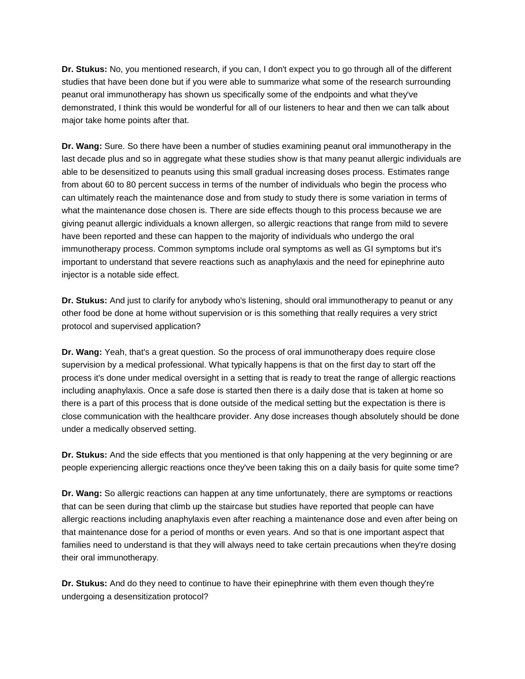**Dr. Stukus:** No, you mentioned research, if you can, I don't expect you to go through all of the different studies that have been done but if you were able to summarize what some of the research surrounding peanut oral immunotherapy has shown us specifically some of the endpoints and what they've demonstrated, I think this would be wonderful for all of our listeners to hear and then we can talk about major take home points after that.

**Dr. Wang:** Sure. So there have been a number of studies examining peanut oral immunotherapy in the last decade plus and so in aggregate what these studies show is that many peanut allergic individuals are able to be desensitized to peanuts using this small gradual increasing doses process. Estimates range from about 60 to 80 percent success in terms of the number of individuals who begin the process who can ultimately reach the maintenance dose and from study to study there is some variation in terms of what the maintenance dose chosen is. There are side effects though to this process because we are giving peanut allergic individuals a known allergen, so allergic reactions that range from mild to severe have been reported and these can happen to the majority of individuals who undergo the oral immunotherapy process. Common symptoms include oral symptoms as well as GI symptoms but it's important to understand that severe reactions such as anaphylaxis and the need for epinephrine auto injector is a notable side effect.

**Dr. Stukus:** And just to clarify for anybody who's listening, should oral immunotherapy to peanut or any other food be done at home without supervision or is this something that really requires a very strict protocol and supervised application?

**Dr. Wang:** Yeah, that's a great question. So the process of oral immunotherapy does require close supervision by a medical professional. What typically happens is that on the first day to start off the process it's done under medical oversight in a setting that is ready to treat the range of allergic reactions including anaphylaxis. Once a safe dose is started then there is a daily dose that is taken at home so there is a part of this process that is done outside of the medical setting but the expectation is there is close communication with the healthcare provider. Any dose increases though absolutely should be done under a medically observed setting.

**Dr. Stukus:** And the side effects that you mentioned is that only happening at the very beginning or are people experiencing allergic reactions once they've been taking this on a daily basis for quite some time?

**Dr. Wang:** So allergic reactions can happen at any time unfortunately, there are symptoms or reactions that can be seen during that climb up the staircase but studies have reported that people can have allergic reactions including anaphylaxis even after reaching a maintenance dose and even after being on that maintenance dose for a period of months or even years. And so that is one important aspect that families need to understand is that they will always need to take certain precautions when they're dosing their oral immunotherapy.

**Dr. Stukus:** And do they need to continue to have their epinephrine with them even though they're undergoing a desensitization protocol?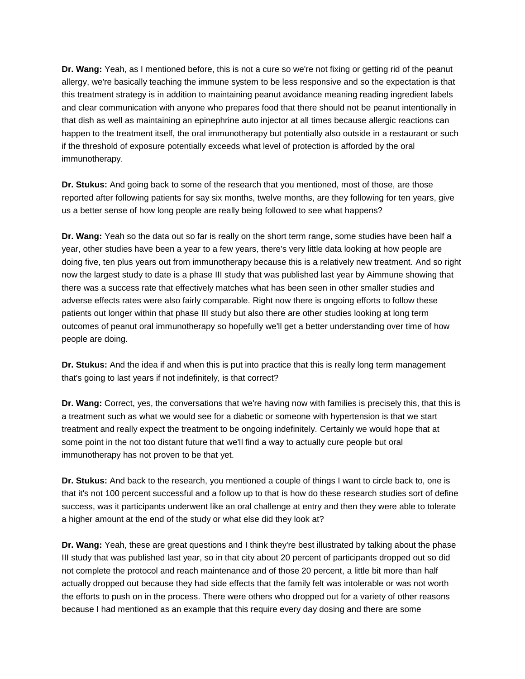**Dr. Wang:** Yeah, as I mentioned before, this is not a cure so we're not fixing or getting rid of the peanut allergy, we're basically teaching the immune system to be less responsive and so the expectation is that this treatment strategy is in addition to maintaining peanut avoidance meaning reading ingredient labels and clear communication with anyone who prepares food that there should not be peanut intentionally in that dish as well as maintaining an epinephrine auto injector at all times because allergic reactions can happen to the treatment itself, the oral immunotherapy but potentially also outside in a restaurant or such if the threshold of exposure potentially exceeds what level of protection is afforded by the oral immunotherapy.

**Dr. Stukus:** And going back to some of the research that you mentioned, most of those, are those reported after following patients for say six months, twelve months, are they following for ten years, give us a better sense of how long people are really being followed to see what happens?

**Dr. Wang:** Yeah so the data out so far is really on the short term range, some studies have been half a year, other studies have been a year to a few years, there's very little data looking at how people are doing five, ten plus years out from immunotherapy because this is a relatively new treatment. And so right now the largest study to date is a phase III study that was published last year by Aimmune showing that there was a success rate that effectively matches what has been seen in other smaller studies and adverse effects rates were also fairly comparable. Right now there is ongoing efforts to follow these patients out longer within that phase III study but also there are other studies looking at long term outcomes of peanut oral immunotherapy so hopefully we'll get a better understanding over time of how people are doing.

**Dr. Stukus:** And the idea if and when this is put into practice that this is really long term management that's going to last years if not indefinitely, is that correct?

**Dr. Wang:** Correct, yes, the conversations that we're having now with families is precisely this, that this is a treatment such as what we would see for a diabetic or someone with hypertension is that we start treatment and really expect the treatment to be ongoing indefinitely. Certainly we would hope that at some point in the not too distant future that we'll find a way to actually cure people but oral immunotherapy has not proven to be that yet.

**Dr. Stukus:** And back to the research, you mentioned a couple of things I want to circle back to, one is that it's not 100 percent successful and a follow up to that is how do these research studies sort of define success, was it participants underwent like an oral challenge at entry and then they were able to tolerate a higher amount at the end of the study or what else did they look at?

**Dr. Wang:** Yeah, these are great questions and I think they're best illustrated by talking about the phase III study that was published last year, so in that city about 20 percent of participants dropped out so did not complete the protocol and reach maintenance and of those 20 percent, a little bit more than half actually dropped out because they had side effects that the family felt was intolerable or was not worth the efforts to push on in the process. There were others who dropped out for a variety of other reasons because I had mentioned as an example that this require every day dosing and there are some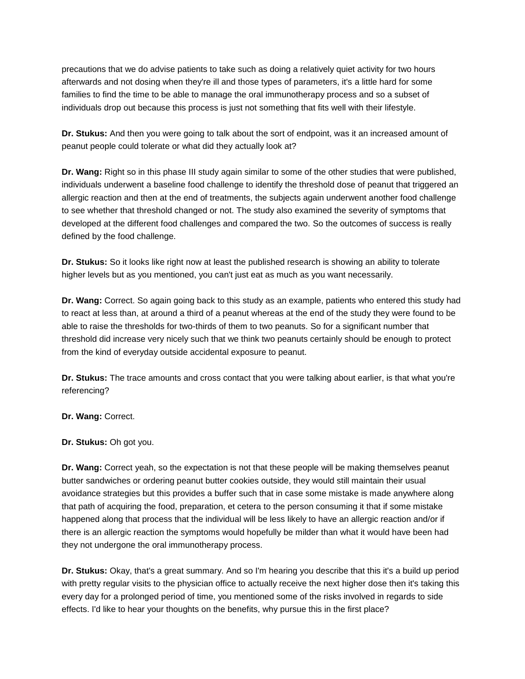precautions that we do advise patients to take such as doing a relatively quiet activity for two hours afterwards and not dosing when they're ill and those types of parameters, it's a little hard for some families to find the time to be able to manage the oral immunotherapy process and so a subset of individuals drop out because this process is just not something that fits well with their lifestyle.

**Dr. Stukus:** And then you were going to talk about the sort of endpoint, was it an increased amount of peanut people could tolerate or what did they actually look at?

**Dr. Wang:** Right so in this phase III study again similar to some of the other studies that were published, individuals underwent a baseline food challenge to identify the threshold dose of peanut that triggered an allergic reaction and then at the end of treatments, the subjects again underwent another food challenge to see whether that threshold changed or not. The study also examined the severity of symptoms that developed at the different food challenges and compared the two. So the outcomes of success is really defined by the food challenge.

**Dr. Stukus:** So it looks like right now at least the published research is showing an ability to tolerate higher levels but as you mentioned, you can't just eat as much as you want necessarily.

**Dr. Wang:** Correct. So again going back to this study as an example, patients who entered this study had to react at less than, at around a third of a peanut whereas at the end of the study they were found to be able to raise the thresholds for two-thirds of them to two peanuts. So for a significant number that threshold did increase very nicely such that we think two peanuts certainly should be enough to protect from the kind of everyday outside accidental exposure to peanut.

**Dr. Stukus:** The trace amounts and cross contact that you were talking about earlier, is that what you're referencing?

**Dr. Wang:** Correct.

**Dr. Stukus:** Oh got you.

**Dr. Wang:** Correct yeah, so the expectation is not that these people will be making themselves peanut butter sandwiches or ordering peanut butter cookies outside, they would still maintain their usual avoidance strategies but this provides a buffer such that in case some mistake is made anywhere along that path of acquiring the food, preparation, et cetera to the person consuming it that if some mistake happened along that process that the individual will be less likely to have an allergic reaction and/or if there is an allergic reaction the symptoms would hopefully be milder than what it would have been had they not undergone the oral immunotherapy process.

**Dr. Stukus:** Okay, that's a great summary. And so I'm hearing you describe that this it's a build up period with pretty regular visits to the physician office to actually receive the next higher dose then it's taking this every day for a prolonged period of time, you mentioned some of the risks involved in regards to side effects. I'd like to hear your thoughts on the benefits, why pursue this in the first place?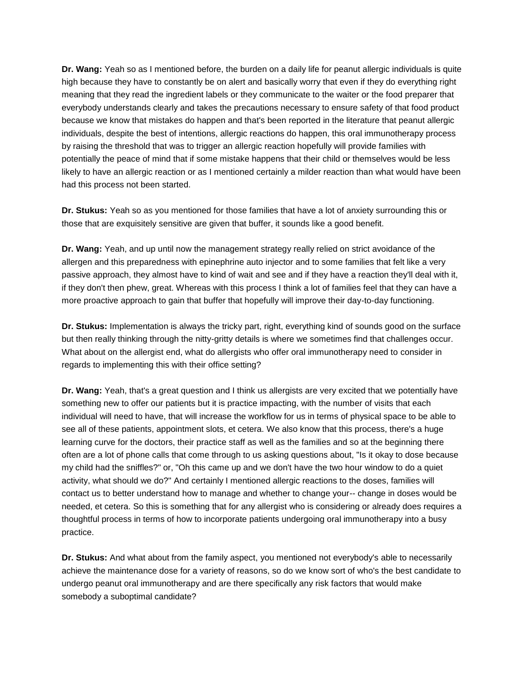**Dr. Wang:** Yeah so as I mentioned before, the burden on a daily life for peanut allergic individuals is quite high because they have to constantly be on alert and basically worry that even if they do everything right meaning that they read the ingredient labels or they communicate to the waiter or the food preparer that everybody understands clearly and takes the precautions necessary to ensure safety of that food product because we know that mistakes do happen and that's been reported in the literature that peanut allergic individuals, despite the best of intentions, allergic reactions do happen, this oral immunotherapy process by raising the threshold that was to trigger an allergic reaction hopefully will provide families with potentially the peace of mind that if some mistake happens that their child or themselves would be less likely to have an allergic reaction or as I mentioned certainly a milder reaction than what would have been had this process not been started.

**Dr. Stukus:** Yeah so as you mentioned for those families that have a lot of anxiety surrounding this or those that are exquisitely sensitive are given that buffer, it sounds like a good benefit.

**Dr. Wang:** Yeah, and up until now the management strategy really relied on strict avoidance of the allergen and this preparedness with epinephrine auto injector and to some families that felt like a very passive approach, they almost have to kind of wait and see and if they have a reaction they'll deal with it, if they don't then phew, great. Whereas with this process I think a lot of families feel that they can have a more proactive approach to gain that buffer that hopefully will improve their day-to-day functioning.

**Dr. Stukus:** Implementation is always the tricky part, right, everything kind of sounds good on the surface but then really thinking through the nitty-gritty details is where we sometimes find that challenges occur. What about on the allergist end, what do allergists who offer oral immunotherapy need to consider in regards to implementing this with their office setting?

**Dr. Wang:** Yeah, that's a great question and I think us allergists are very excited that we potentially have something new to offer our patients but it is practice impacting, with the number of visits that each individual will need to have, that will increase the workflow for us in terms of physical space to be able to see all of these patients, appointment slots, et cetera. We also know that this process, there's a huge learning curve for the doctors, their practice staff as well as the families and so at the beginning there often are a lot of phone calls that come through to us asking questions about, "Is it okay to dose because my child had the sniffles?" or, "Oh this came up and we don't have the two hour window to do a quiet activity, what should we do?" And certainly I mentioned allergic reactions to the doses, families will contact us to better understand how to manage and whether to change your-- change in doses would be needed, et cetera. So this is something that for any allergist who is considering or already does requires a thoughtful process in terms of how to incorporate patients undergoing oral immunotherapy into a busy practice.

**Dr. Stukus:** And what about from the family aspect, you mentioned not everybody's able to necessarily achieve the maintenance dose for a variety of reasons, so do we know sort of who's the best candidate to undergo peanut oral immunotherapy and are there specifically any risk factors that would make somebody a suboptimal candidate?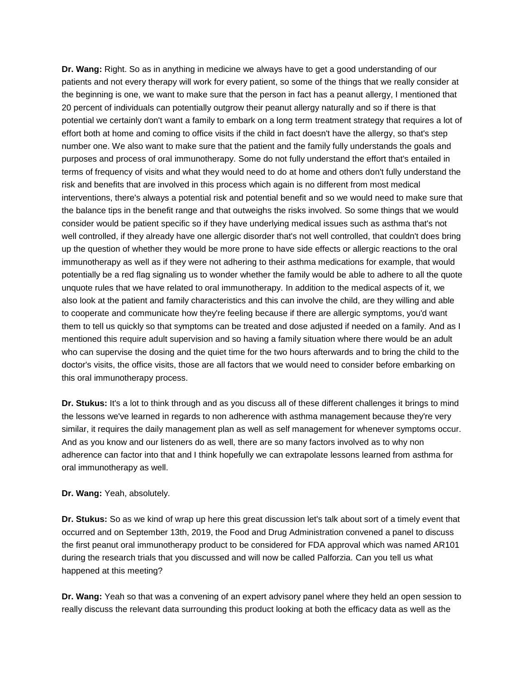**Dr. Wang:** Right. So as in anything in medicine we always have to get a good understanding of our patients and not every therapy will work for every patient, so some of the things that we really consider at the beginning is one, we want to make sure that the person in fact has a peanut allergy, I mentioned that 20 percent of individuals can potentially outgrow their peanut allergy naturally and so if there is that potential we certainly don't want a family to embark on a long term treatment strategy that requires a lot of effort both at home and coming to office visits if the child in fact doesn't have the allergy, so that's step number one. We also want to make sure that the patient and the family fully understands the goals and purposes and process of oral immunotherapy. Some do not fully understand the effort that's entailed in terms of frequency of visits and what they would need to do at home and others don't fully understand the risk and benefits that are involved in this process which again is no different from most medical interventions, there's always a potential risk and potential benefit and so we would need to make sure that the balance tips in the benefit range and that outweighs the risks involved. So some things that we would consider would be patient specific so if they have underlying medical issues such as asthma that's not well controlled, if they already have one allergic disorder that's not well controlled, that couldn't does bring up the question of whether they would be more prone to have side effects or allergic reactions to the oral immunotherapy as well as if they were not adhering to their asthma medications for example, that would potentially be a red flag signaling us to wonder whether the family would be able to adhere to all the quote unquote rules that we have related to oral immunotherapy. In addition to the medical aspects of it, we also look at the patient and family characteristics and this can involve the child, are they willing and able to cooperate and communicate how they're feeling because if there are allergic symptoms, you'd want them to tell us quickly so that symptoms can be treated and dose adjusted if needed on a family. And as I mentioned this require adult supervision and so having a family situation where there would be an adult who can supervise the dosing and the quiet time for the two hours afterwards and to bring the child to the doctor's visits, the office visits, those are all factors that we would need to consider before embarking on this oral immunotherapy process.

**Dr. Stukus:** It's a lot to think through and as you discuss all of these different challenges it brings to mind the lessons we've learned in regards to non adherence with asthma management because they're very similar, it requires the daily management plan as well as self management for whenever symptoms occur. And as you know and our listeners do as well, there are so many factors involved as to why non adherence can factor into that and I think hopefully we can extrapolate lessons learned from asthma for oral immunotherapy as well.

## **Dr. Wang:** Yeah, absolutely.

**Dr. Stukus:** So as we kind of wrap up here this great discussion let's talk about sort of a timely event that occurred and on September 13th, 2019, the Food and Drug Administration convened a panel to discuss the first peanut oral immunotherapy product to be considered for FDA approval which was named AR101 during the research trials that you discussed and will now be called Palforzia. Can you tell us what happened at this meeting?

**Dr. Wang:** Yeah so that was a convening of an expert advisory panel where they held an open session to really discuss the relevant data surrounding this product looking at both the efficacy data as well as the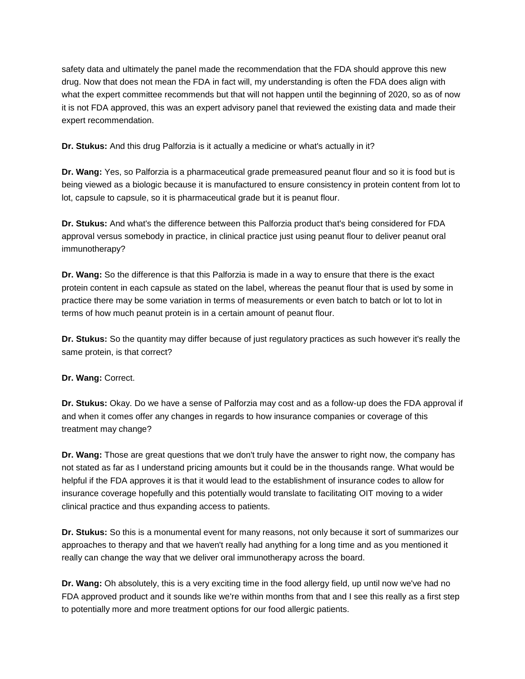safety data and ultimately the panel made the recommendation that the FDA should approve this new drug. Now that does not mean the FDA in fact will, my understanding is often the FDA does align with what the expert committee recommends but that will not happen until the beginning of 2020, so as of now it is not FDA approved, this was an expert advisory panel that reviewed the existing data and made their expert recommendation.

**Dr. Stukus:** And this drug Palforzia is it actually a medicine or what's actually in it?

**Dr. Wang:** Yes, so Palforzia is a pharmaceutical grade premeasured peanut flour and so it is food but is being viewed as a biologic because it is manufactured to ensure consistency in protein content from lot to lot, capsule to capsule, so it is pharmaceutical grade but it is peanut flour.

**Dr. Stukus:** And what's the difference between this Palforzia product that's being considered for FDA approval versus somebody in practice, in clinical practice just using peanut flour to deliver peanut oral immunotherapy?

**Dr. Wang:** So the difference is that this Palforzia is made in a way to ensure that there is the exact protein content in each capsule as stated on the label, whereas the peanut flour that is used by some in practice there may be some variation in terms of measurements or even batch to batch or lot to lot in terms of how much peanut protein is in a certain amount of peanut flour.

**Dr. Stukus:** So the quantity may differ because of just regulatory practices as such however it's really the same protein, is that correct?

**Dr. Wang:** Correct.

**Dr. Stukus:** Okay. Do we have a sense of Palforzia may cost and as a follow-up does the FDA approval if and when it comes offer any changes in regards to how insurance companies or coverage of this treatment may change?

**Dr. Wang:** Those are great questions that we don't truly have the answer to right now, the company has not stated as far as I understand pricing amounts but it could be in the thousands range. What would be helpful if the FDA approves it is that it would lead to the establishment of insurance codes to allow for insurance coverage hopefully and this potentially would translate to facilitating OIT moving to a wider clinical practice and thus expanding access to patients.

**Dr. Stukus:** So this is a monumental event for many reasons, not only because it sort of summarizes our approaches to therapy and that we haven't really had anything for a long time and as you mentioned it really can change the way that we deliver oral immunotherapy across the board.

**Dr. Wang:** Oh absolutely, this is a very exciting time in the food allergy field, up until now we've had no FDA approved product and it sounds like we're within months from that and I see this really as a first step to potentially more and more treatment options for our food allergic patients.